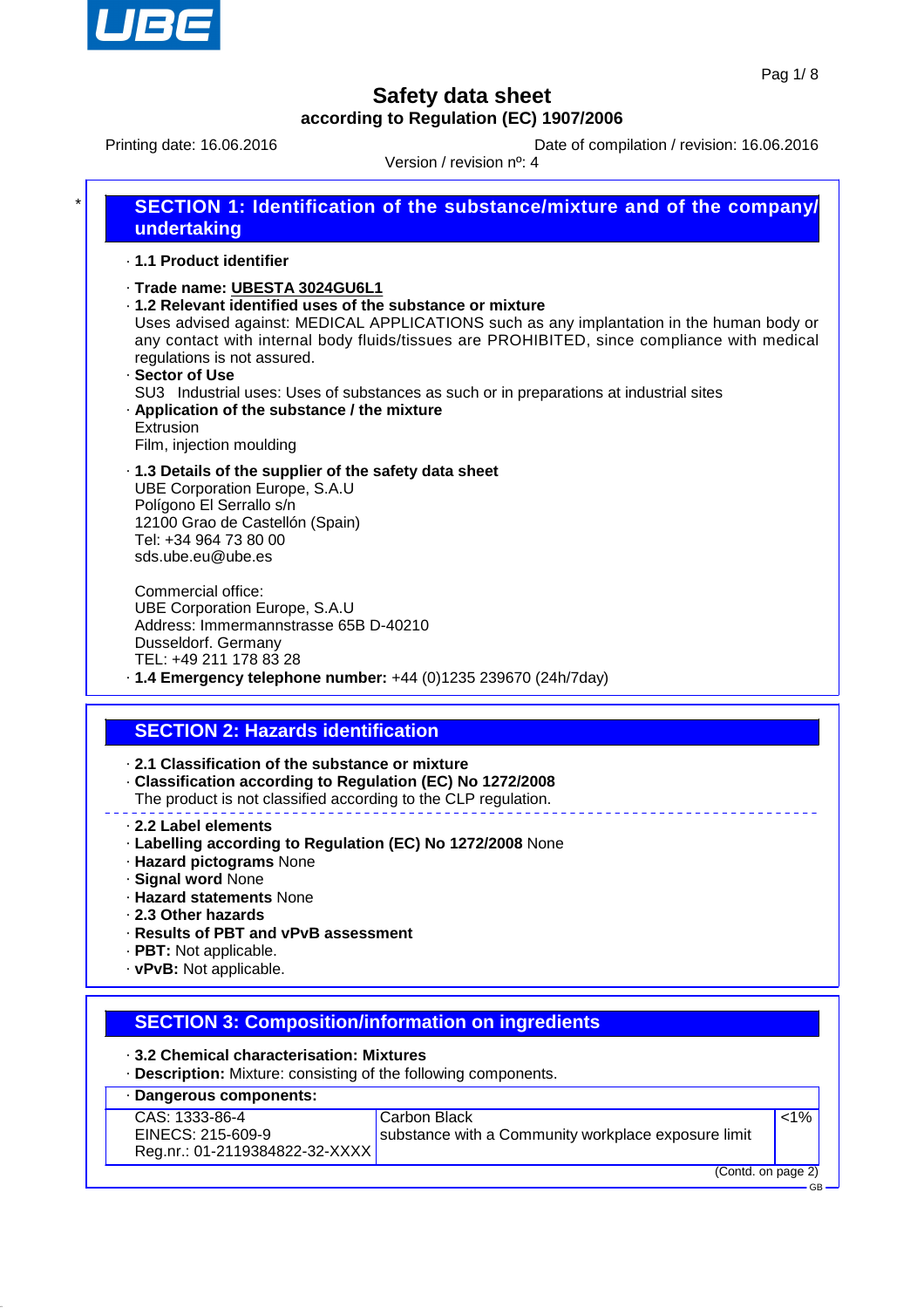

Printing date: 16.06.2016 **Date of compilation / revision: 16.06.2016** 

Version / revision nº: 4

| $\star$ | <b>SECTION 1: Identification of the substance/mixture and of the company/</b><br>undertaking                                                                                                                                                                                                                         |
|---------|----------------------------------------------------------------------------------------------------------------------------------------------------------------------------------------------------------------------------------------------------------------------------------------------------------------------|
|         | ⋅ 1.1 Product identifier                                                                                                                                                                                                                                                                                             |
|         | ⋅Trade name: UBESTA 3024GU6L1<br>.1.2 Relevant identified uses of the substance or mixture<br>Uses advised against: MEDICAL APPLICATIONS such as any implantation in the human body or<br>any contact with internal body fluids/tissues are PROHIBITED, since compliance with medical<br>regulations is not assured. |
|         | · Sector of Use<br>SU3 Industrial uses: Uses of substances as such or in preparations at industrial sites                                                                                                                                                                                                            |

· **Application of the substance / the mixture** Extrusion

Film, injection moulding

· **1.3 Details of the supplier of the safety data sheet** UBE Corporation Europe, S.A.U Polígono El Serrallo s/n 12100 Grao de Castellón (Spain) Tel: +34 964 73 80 00 sds.ube.eu@ube.es

Commercial office: UBE Corporation Europe, S.A.U Address: Immermannstrasse 65B D-40210 Dusseldorf. Germany TEL: +49 211 178 83 28 · **1.4 Emergency telephone number:** +44 (0)1235 239670 (24h/7day)

# **SECTION 2: Hazards identification**

· **2.1 Classification of the substance or mixture**

- · **Classification according to Regulation (EC) No 1272/2008**
- The product is not classified according to the CLP regulation.
- · **2.2 Label elements**
- · **Labelling according to Regulation (EC) No 1272/2008** None
- · **Hazard pictograms** None
- · **Signal word** None
- · **Hazard statements** None
- · **2.3 Other hazards**
- · **Results of PBT and vPvB assessment**
- · **PBT:** Not applicable.
- · **vPvB:** Not applicable.

### **SECTION 3: Composition/information on ingredients**

- · **3.2 Chemical characterisation: Mixtures**
- · **Description:** Mixture: consisting of the following components.

#### · **Dangerous components:**

CAS: 1333-86-4 EINECS: 215-609-9 Reg.nr.: 01-2119384822-32-XXXX

#### Carbon Black substance with a Community workplace exposure limit

(Contd. on page 2) GB

 $\sqrt{1\%}$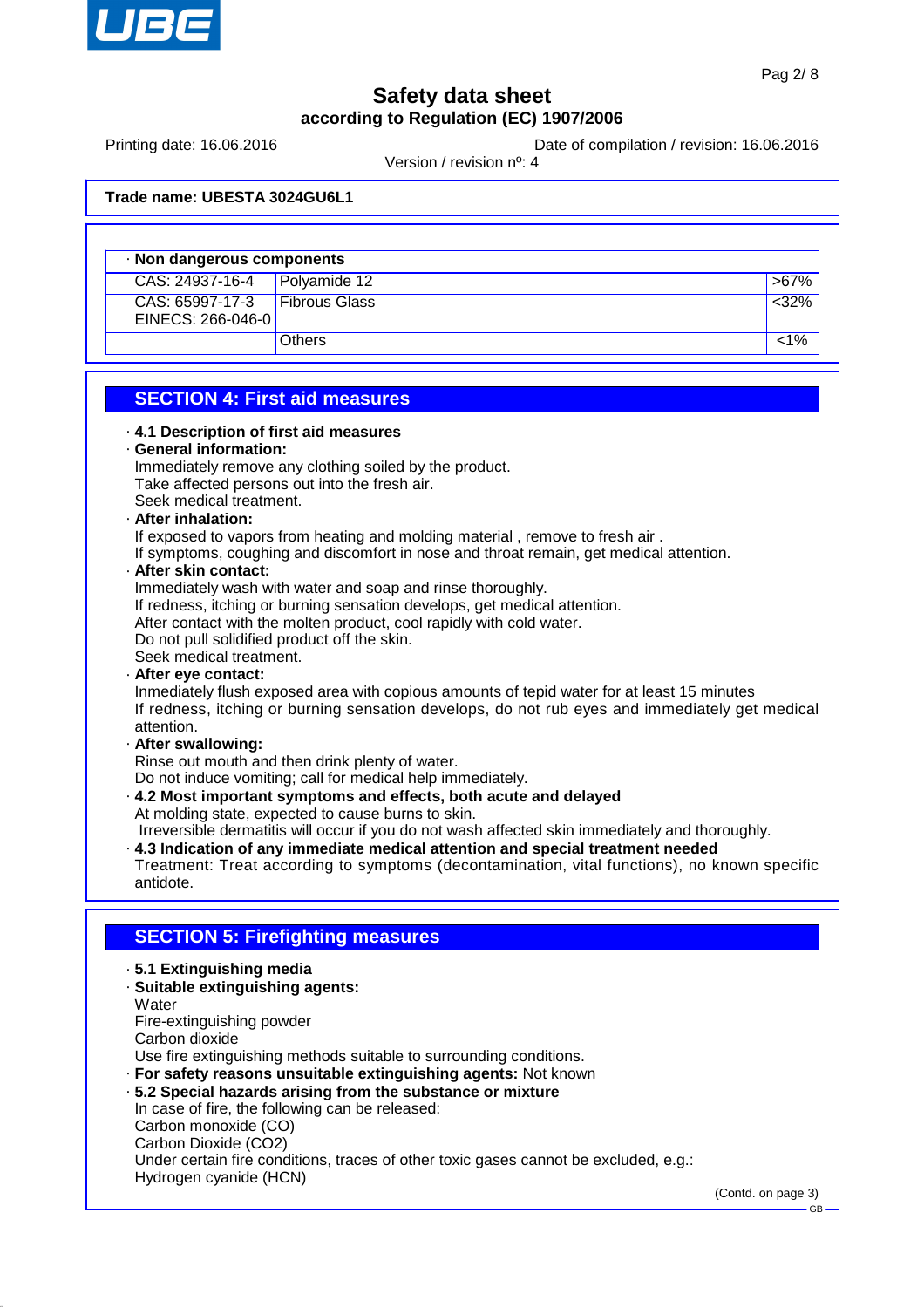

Printing date: 16.06.2016 **Date of compilation / revision: 16.06.2016** 

Version / revision nº: 4

**Trade name: UBESTA 3024GU6L1**

|                                      | Non dangerous components |         |  |
|--------------------------------------|--------------------------|---------|--|
| CAS: 24937-16-4                      | Polyamide $12$           | $>67\%$ |  |
| CAS: 65997-17-3<br>EINECS: 266-046-0 | <b>Fibrous Glass</b>     | <32%    |  |
|                                      | <b>Others</b>            | 1%>     |  |

#### **SECTION 4: First aid measures**

| 4.1 Description of first aid measures                  |  |  |
|--------------------------------------------------------|--|--|
| General information:                                   |  |  |
| Immediately remove any clothing soiled by the product. |  |  |
| Take affected persons out into the fresh air.          |  |  |
| Seek medical treatment.                                |  |  |
| Alfred Mark all alfabet                                |  |  |

#### · **After inhalation:**

If exposed to vapors from heating and molding material , remove to fresh air .

If symptoms, coughing and discomfort in nose and throat remain, get medical attention.

· **After skin contact:**

Immediately wash with water and soap and rinse thoroughly.

If redness, itching or burning sensation develops, get medical attention.

After contact with the molten product, cool rapidly with cold water.

Do not pull solidified product off the skin.

Seek medical treatment.

· **After eye contact:**

Inmediately flush exposed area with copious amounts of tepid water for at least 15 minutes If redness, itching or burning sensation develops, do not rub eyes and immediately get medical attention.

· **After swallowing:**

Rinse out mouth and then drink plenty of water.

Do not induce vomiting; call for medical help immediately.

· **4.2 Most important symptoms and effects, both acute and delayed** At molding state, expected to cause burns to skin.

Irreversible dermatitis will occur if you do not wash affected skin immediately and thoroughly.

· **4.3 Indication of any immediate medical attention and special treatment needed**

Treatment: Treat according to symptoms (decontamination, vital functions), no known specific antidote.

#### **SECTION 5: Firefighting measures**

- · **5.1 Extinguishing media**
- · **Suitable extinguishing agents: Water** Fire-extinguishing powder Carbon dioxide

Use fire extinguishing methods suitable to surrounding conditions.

· **For safety reasons unsuitable extinguishing agents:** Not known

· **5.2 Special hazards arising from the substance or mixture** In case of fire, the following can be released: Carbon monoxide (CO) Carbon Dioxide (CO2) Under certain fire conditions, traces of other toxic gases cannot be excluded, e.g.: Hydrogen cyanide (HCN)

(Contd. on page 3)

GB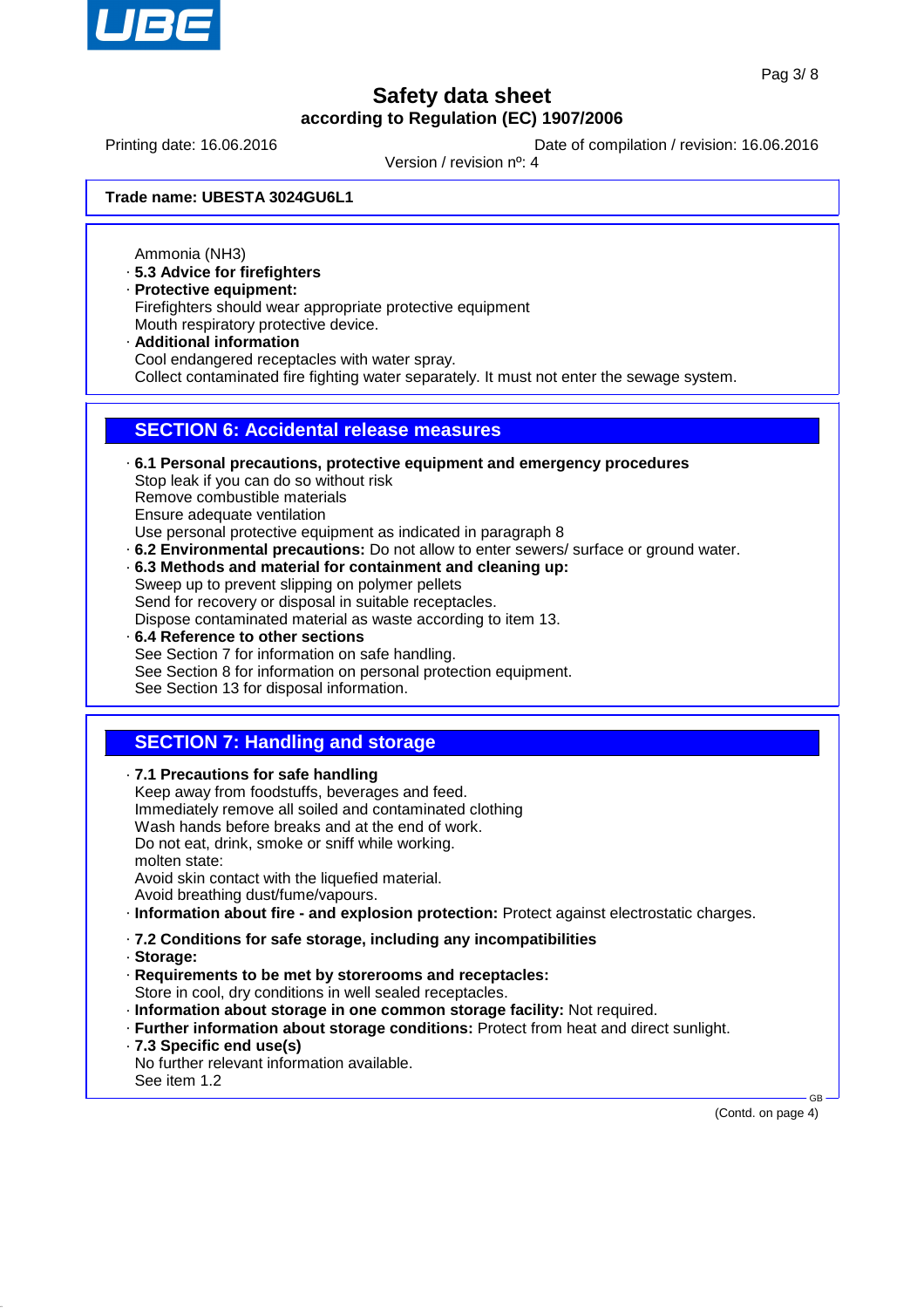

Printing date: 16.06.2016 **Date of compilation / revision: 16.06.2016** 

Version / revision nº: 4

**Trade name: UBESTA 3024GU6L1**

Ammonia (NH3)

- · **5.3 Advice for firefighters**
- · **Protective equipment:**
- Firefighters should wear appropriate protective equipment Mouth respiratory protective device.
- · **Additional information** Cool endangered receptacles with water spray. Collect contaminated fire fighting water separately. It must not enter the sewage system.

#### **SECTION 6: Accidental release measures**

- · **6.1 Personal precautions, protective equipment and emergency procedures** Stop leak if you can do so without risk Remove combustible materials Ensure adequate ventilation Use personal protective equipment as indicated in paragraph 8 · **6.2 Environmental precautions:** Do not allow to enter sewers/ surface or ground water.
- · **6.3 Methods and material for containment and cleaning up:** Sweep up to prevent slipping on polymer pellets Send for recovery or disposal in suitable receptacles.

Dispose contaminated material as waste according to item 13.

· **6.4 Reference to other sections** See Section 7 for information on safe handling. See Section 8 for information on personal protection equipment. See Section 13 for disposal information.

### **SECTION 7: Handling and storage**

· **7.1 Precautions for safe handling** Keep away from foodstuffs, beverages and feed. Immediately remove all soiled and contaminated clothing Wash hands before breaks and at the end of work. Do not eat, drink, smoke or sniff while working. molten state: Avoid skin contact with the liquefied material. Avoid breathing dust/fume/vapours. · **Information about fire - and explosion protection:** Protect against electrostatic charges.

- · **7.2 Conditions for safe storage, including any incompatibilities**
- · **Storage:**
- · **Requirements to be met by storerooms and receptacles:** Store in cool, dry conditions in well sealed receptacles.
- · **Information about storage in one common storage facility:** Not required.
- · **Further information about storage conditions:** Protect from heat and direct sunlight.
- · **7.3 Specific end use(s)**

No further relevant information available. See item 1.2

(Contd. on page 4)

GB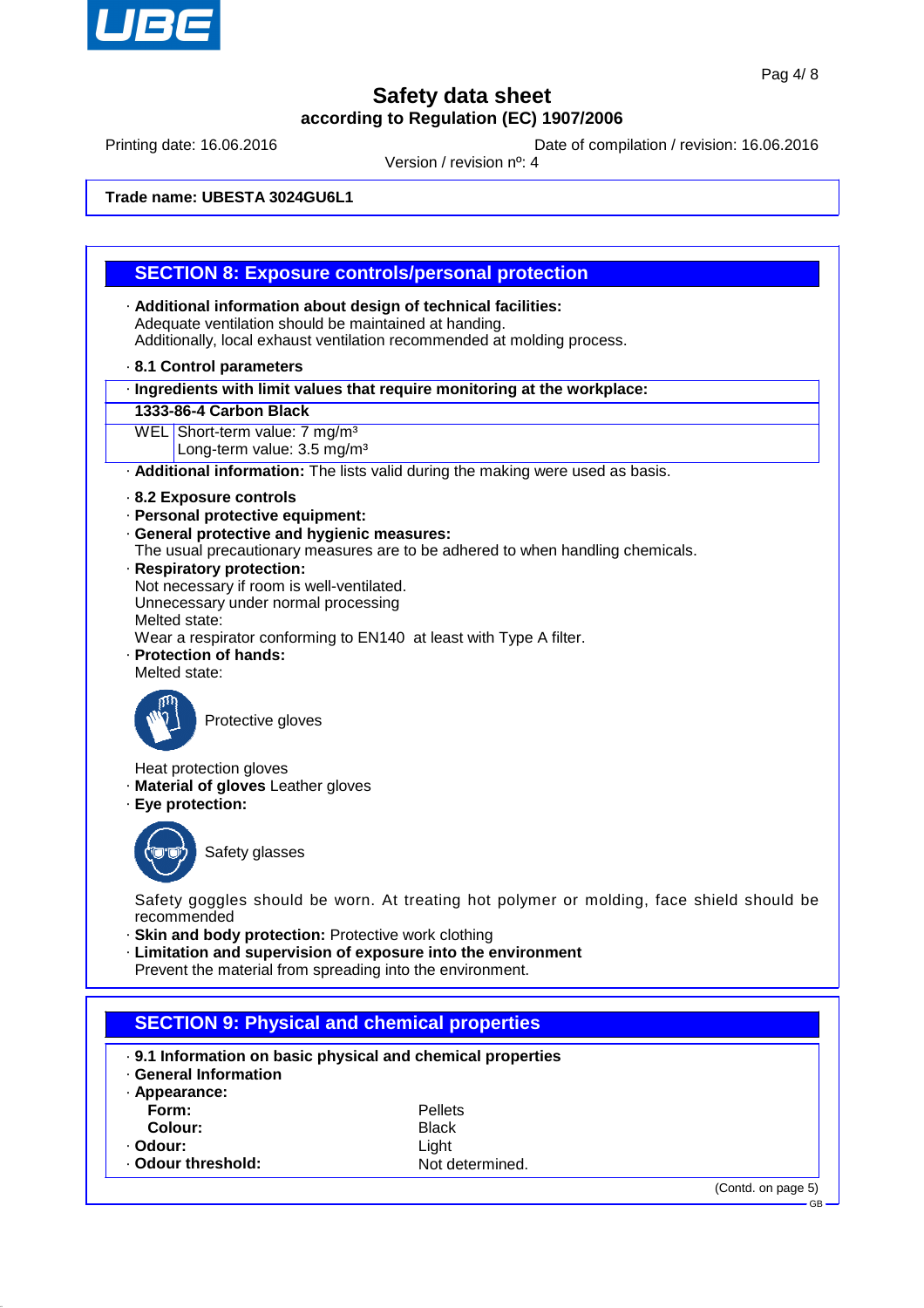

Printing date: 16.06.2016 **Date of compilation / revision: 16.06.2016** 

Version / revision nº: 4

**Trade name: UBESTA 3024GU6L1**

#### **SECTION 8: Exposure controls/personal protection**

- · **Additional information about design of technical facilities:** Adequate ventilation should be maintained at handing. Additionally, local exhaust ventilation recommended at molding process.
- · **8.1 Control parameters**
- · **Ingredients with limit values that require monitoring at the workplace:**
- **1333-86-4 Carbon Black**
- WEL Short-term value: 7 mg/m<sup>3</sup>
	- Long-term value: 3.5 mg/m<sup>3</sup>

· **Additional information:** The lists valid during the making were used as basis.

- · **8.2 Exposure controls**
- · **Personal protective equipment:**
- · **General protective and hygienic measures:**
- The usual precautionary measures are to be adhered to when handling chemicals.
- · **Respiratory protection:**
- Not necessary if room is well-ventilated.
- Unnecessary under normal processing
- Melted state:
- Wear a respirator conforming to EN140 at least with Type A filter.
- · **Protection of hands:**
- Melted state:



Protective gloves

- Heat protection gloves
- · **Material of gloves** Leather gloves
- · **Eye protection:**



Safety glasses

Safety goggles should be worn. At treating hot polymer or molding, face shield should be recommended

- · **Skin and body protection:** Protective work clothing
- · **Limitation and supervision of exposure into the environment**
- Prevent the material from spreading into the environment.

| <b>SECTION 9: Physical and chemical properties</b> |  |
|----------------------------------------------------|--|
|                                                    |  |

- · **9.1 Information on basic physical and chemical properties**
- · **General Information**

| · Appearance:    |                 |
|------------------|-----------------|
| Form:            | <b>Pellets</b>  |
| Colour:          | <b>Black</b>    |
| · Odour:         | Light           |
| Odour threshold: | Not determined. |

(Contd. on page 5)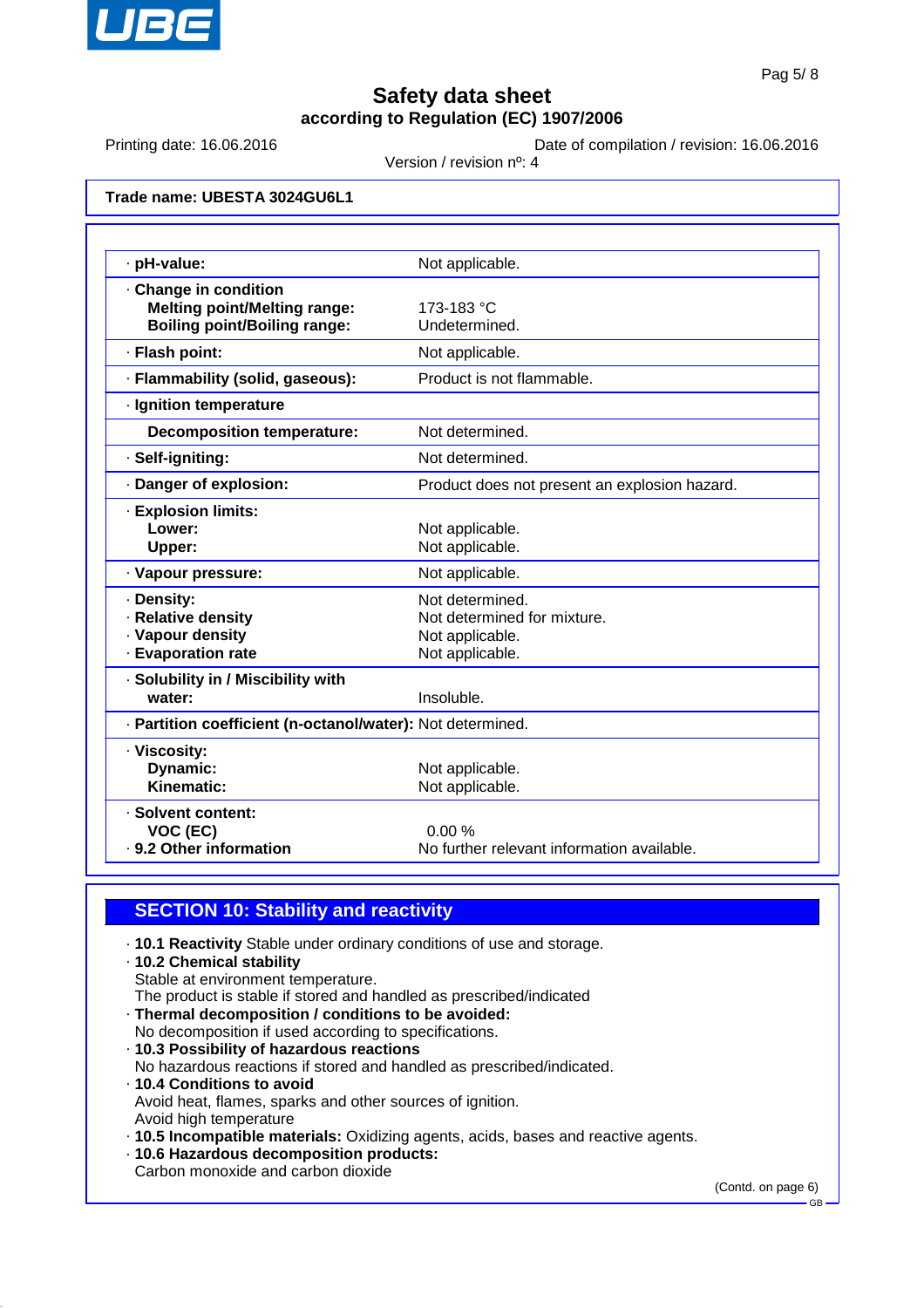

Printing date: 16.06.2016 **Date of compilation / revision: 16.06.2016** 

Version / revision nº: 4

**Trade name: UBESTA 3024GU6L1**

| · pH-value:                                                | Not applicable.                               |
|------------------------------------------------------------|-----------------------------------------------|
| Change in condition                                        |                                               |
| <b>Melting point/Melting range:</b>                        | 173-183 °C                                    |
| <b>Boiling point/Boiling range:</b>                        | Undetermined.                                 |
| · Flash point:                                             | Not applicable.                               |
| · Flammability (solid, gaseous):                           | Product is not flammable.                     |
| · Ignition temperature                                     |                                               |
| <b>Decomposition temperature:</b>                          | Not determined.                               |
| · Self-igniting:                                           | Not determined.                               |
| · Danger of explosion:                                     | Product does not present an explosion hazard. |
| <b>Explosion limits:</b>                                   |                                               |
| Lower:                                                     | Not applicable.                               |
| Upper:                                                     | Not applicable.                               |
| · Vapour pressure:                                         | Not applicable.                               |
| · Density:                                                 | Not determined.                               |
| · Relative density                                         | Not determined for mixture.                   |
| · Vapour density                                           | Not applicable.                               |
| · Evaporation rate                                         | Not applicable.                               |
| · Solubility in / Miscibility with                         |                                               |
| water:                                                     | Insoluble.                                    |
| · Partition coefficient (n-octanol/water): Not determined. |                                               |
| · Viscosity:                                               |                                               |
| Dynamic:                                                   | Not applicable.                               |
| Kinematic:                                                 | Not applicable.                               |
| · Solvent content:                                         |                                               |
| VOC (EC)                                                   | 0.00%                                         |
| . 9.2 Other information                                    | No further relevant information available.    |

#### **SECTION 10: Stability and reactivity**

- · **10.1 Reactivity** Stable under ordinary conditions of use and storage.
- · **10.2 Chemical stability**
- Stable at environment temperature.
- The product is stable if stored and handled as prescribed/indicated
- · **Thermal decomposition / conditions to be avoided:**
- No decomposition if used according to specifications.
- · **10.3 Possibility of hazardous reactions**
- No hazardous reactions if stored and handled as prescribed/indicated.
- · **10.4 Conditions to avoid** Avoid heat, flames, sparks and other sources of ignition. Avoid high temperature
- · **10.5 Incompatible materials:** Oxidizing agents, acids, bases and reactive agents.
- · **10.6 Hazardous decomposition products:**
- Carbon monoxide and carbon dioxide

(Contd. on page 6)

GB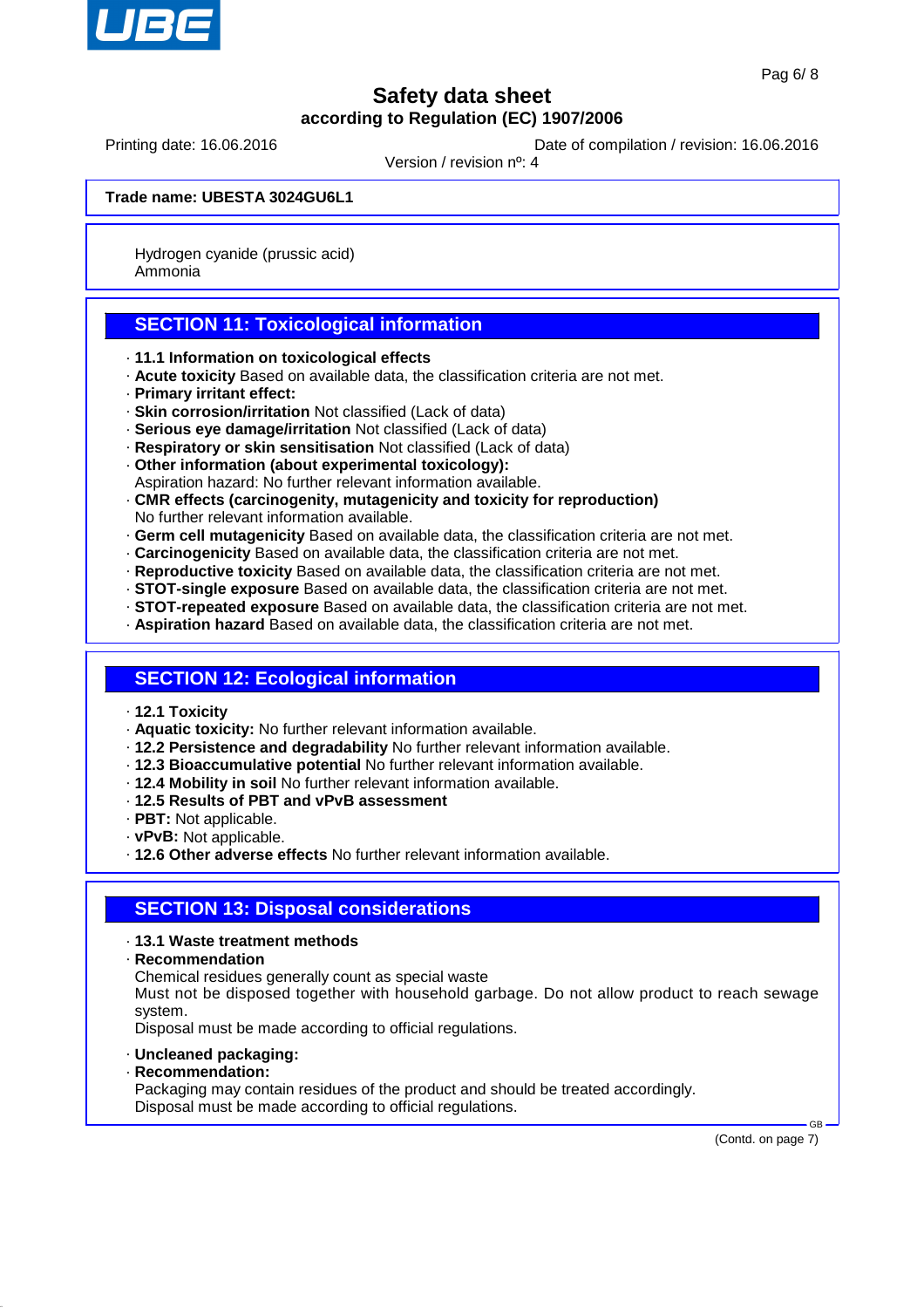

Printing date: 16.06.2016 **Date of compilation / revision: 16.06.2016** 

Version / revision nº: 4

**Trade name: UBESTA 3024GU6L1**

Hydrogen cyanide (prussic acid) Ammonia

### **SECTION 11: Toxicological information**

- · **11.1 Information on toxicological effects**
- · **Acute toxicity** Based on available data, the classification criteria are not met.
- · **Primary irritant effect:**
- · **Skin corrosion/irritation** Not classified (Lack of data)
- · **Serious eye damage/irritation** Not classified (Lack of data)
- · **Respiratory or skin sensitisation** Not classified (Lack of data)
- · **Other information (about experimental toxicology):**
- Aspiration hazard: No further relevant information available.
- · **CMR effects (carcinogenity, mutagenicity and toxicity for reproduction)** No further relevant information available.
- · **Germ cell mutagenicity** Based on available data, the classification criteria are not met.
- · **Carcinogenicity** Based on available data, the classification criteria are not met.
- · **Reproductive toxicity** Based on available data, the classification criteria are not met.
- · **STOT-single exposure** Based on available data, the classification criteria are not met.
- · **STOT-repeated exposure** Based on available data, the classification criteria are not met.
- · **Aspiration hazard** Based on available data, the classification criteria are not met.

### **SECTION 12: Ecological information**

- · **12.1 Toxicity**
- · **Aquatic toxicity:** No further relevant information available.
- · **12.2 Persistence and degradability** No further relevant information available.
- · **12.3 Bioaccumulative potential** No further relevant information available.
- · **12.4 Mobility in soil** No further relevant information available.
- · **12.5 Results of PBT and vPvB assessment**
- · **PBT:** Not applicable.
- · **vPvB:** Not applicable.
- · **12.6 Other adverse effects** No further relevant information available.

#### **SECTION 13: Disposal considerations**

- · **13.1 Waste treatment methods**
- · **Recommendation**

Chemical residues generally count as special waste

Must not be disposed together with household garbage. Do not allow product to reach sewage system.

Disposal must be made according to official regulations.

- · **Uncleaned packaging:**
- · **Recommendation:**

Packaging may contain residues of the product and should be treated accordingly. Disposal must be made according to official regulations.

(Contd. on page 7)

 $\sim$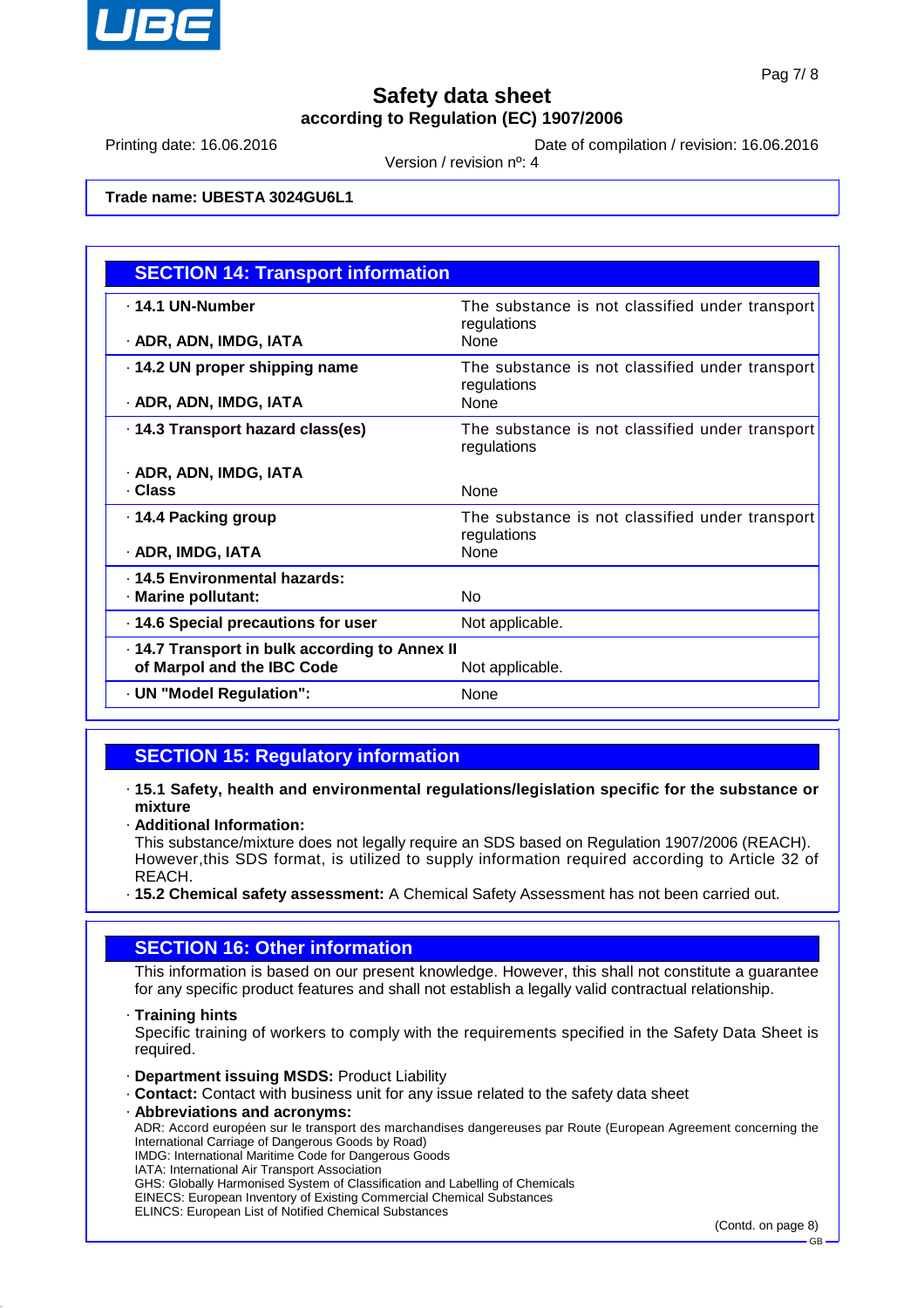

Printing date: 16.06.2016 **Date of compilation / revision: 16.06.2016** 

Version / revision nº: 4

**Trade name: UBESTA 3024GU6L1**

| <b>SECTION 14: Transport information</b>       |                                                                |  |
|------------------------------------------------|----------------------------------------------------------------|--|
| . 14.1 UN-Number                               | The substance is not classified under transport<br>regulations |  |
| · ADR, ADN, IMDG, IATA                         | <b>None</b>                                                    |  |
| 14.2 UN proper shipping name                   | The substance is not classified under transport<br>regulations |  |
| · ADR, ADN, IMDG, IATA                         | <b>None</b>                                                    |  |
| 14.3 Transport hazard class(es)                | The substance is not classified under transport<br>regulations |  |
| · ADR, ADN, IMDG, IATA                         |                                                                |  |
| . Class                                        | None                                                           |  |
| ⋅ 14.4 Packing group                           | The substance is not classified under transport<br>regulations |  |
| · ADR, IMDG, IATA                              | None                                                           |  |
| . 14.5 Environmental hazards:                  |                                                                |  |
| · Marine pollutant:                            | N <sub>o</sub>                                                 |  |
| 14.6 Special precautions for user              | Not applicable.                                                |  |
| . 14.7 Transport in bulk according to Annex II |                                                                |  |
| of Marpol and the IBC Code                     | Not applicable.                                                |  |
| · UN "Model Regulation":                       | None                                                           |  |

### **SECTION 15: Regulatory information**

· **15.1 Safety, health and environmental regulations/legislation specific for the substance or mixture**

· **Additional Information:**

This substance/mixture does not legally require an SDS based on Regulation 1907/2006 (REACH). However,this SDS format, is utilized to supply information required according to Article 32 of REACH.

· **15.2 Chemical safety assessment:** A Chemical Safety Assessment has not been carried out.

#### **SECTION 16: Other information**

This information is based on our present knowledge. However, this shall not constitute a guarantee for any specific product features and shall not establish a legally valid contractual relationship.

· **Training hints**

Specific training of workers to comply with the requirements specified in the Safety Data Sheet is required.

- · **Department issuing MSDS:** Product Liability
- · **Contact:** Contact with business unit for any issue related to the safety data sheet
- · **Abbreviations and acronyms:**

ADR: Accord européen sur le transport des marchandises dangereuses par Route (European Agreement concerning the International Carriage of Dangerous Goods by Road)

IMDG: International Maritime Code for Dangerous Goods IATA: International Air Transport Association

GHS: Globally Harmonised System of Classification and Labelling of Chemicals

EINECS: European Inventory of Existing Commercial Chemical Substances

ELINCS: European List of Notified Chemical Substances

(Contd. on page 8)

GB